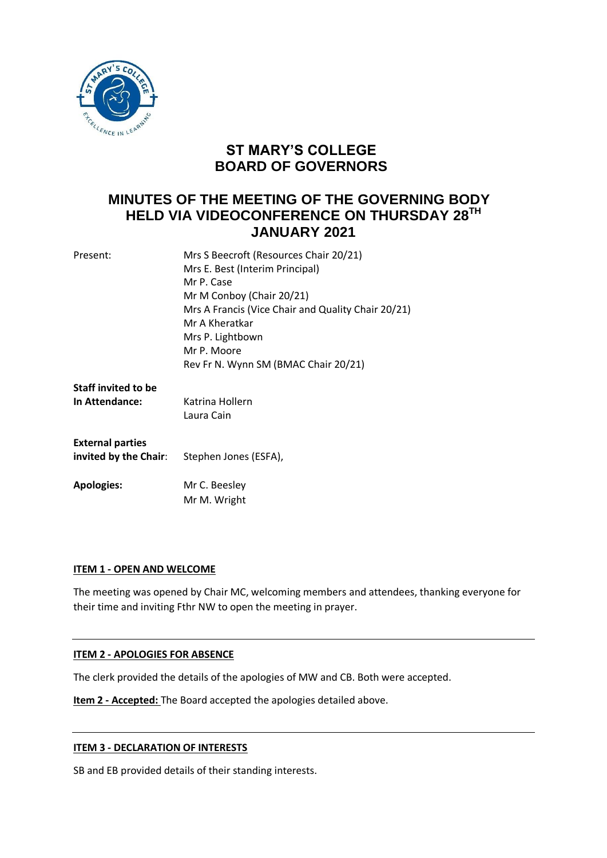

# **ST MARY'S COLLEGE BOARD OF GOVERNORS**

# **MINUTES OF THE MEETING OF THE GOVERNING BODY HELD VIA VIDEOCONFERENCE ON THURSDAY 28TH JANUARY 2021**

| Present:                   | Mrs S Beecroft (Resources Chair 20/21)             |
|----------------------------|----------------------------------------------------|
|                            | Mrs E. Best (Interim Principal)                    |
|                            | Mr P. Case                                         |
|                            | Mr M Conboy (Chair 20/21)                          |
|                            | Mrs A Francis (Vice Chair and Quality Chair 20/21) |
|                            | Mr A Kheratkar                                     |
|                            | Mrs P. Lightbown                                   |
|                            | Mr P. Moore                                        |
|                            | Rev Fr N. Wynn SM (BMAC Chair 20/21)               |
| <b>Staff invited to be</b> |                                                    |
| In Attendance:             | Katrina Hollern                                    |
|                            | Laura Cain                                         |
|                            |                                                    |
| <b>External parties</b>    |                                                    |
| invited by the Chair:      | Stephen Jones (ESFA),                              |
| <b>Apologies:</b>          | Mr C. Beesley                                      |
|                            | Mr M. Wright                                       |
|                            |                                                    |

# **ITEM 1 - OPEN AND WELCOME**

The meeting was opened by Chair MC, welcoming members and attendees, thanking everyone for their time and inviting Fthr NW to open the meeting in prayer.

### **ITEM 2 - APOLOGIES FOR ABSENCE**

The clerk provided the details of the apologies of MW and CB. Both were accepted.

**Item 2 - Accepted:** The Board accepted the apologies detailed above.

### **ITEM 3 - DECLARATION OF INTERESTS**

SB and EB provided details of their standing interests.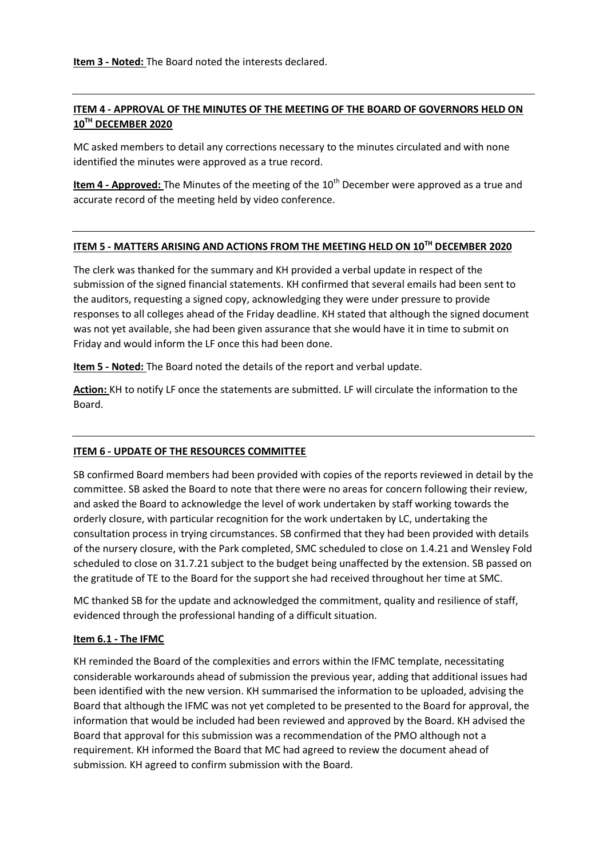**Item 3 - Noted:** The Board noted the interests declared.

## **ITEM 4 - APPROVAL OF THE MINUTES OF THE MEETING OF THE BOARD OF GOVERNORS HELD ON 10TH DECEMBER 2020**

MC asked members to detail any corrections necessary to the minutes circulated and with none identified the minutes were approved as a true record.

**Item 4 - Approved:** The Minutes of the meeting of the 10<sup>th</sup> December were approved as a true and accurate record of the meeting held by video conference.

# **ITEM 5 - MATTERS ARISING AND ACTIONS FROM THE MEETING HELD ON 10TH DECEMBER 2020**

The clerk was thanked for the summary and KH provided a verbal update in respect of the submission of the signed financial statements. KH confirmed that several emails had been sent to the auditors, requesting a signed copy, acknowledging they were under pressure to provide responses to all colleges ahead of the Friday deadline. KH stated that although the signed document was not yet available, she had been given assurance that she would have it in time to submit on Friday and would inform the LF once this had been done.

**Item 5 - Noted:** The Board noted the details of the report and verbal update.

**Action:** KH to notify LF once the statements are submitted. LF will circulate the information to the Board.

# **ITEM 6 - UPDATE OF THE RESOURCES COMMITTEE**

SB confirmed Board members had been provided with copies of the reports reviewed in detail by the committee. SB asked the Board to note that there were no areas for concern following their review, and asked the Board to acknowledge the level of work undertaken by staff working towards the orderly closure, with particular recognition for the work undertaken by LC, undertaking the consultation process in trying circumstances. SB confirmed that they had been provided with details of the nursery closure, with the Park completed, SMC scheduled to close on 1.4.21 and Wensley Fold scheduled to close on 31.7.21 subject to the budget being unaffected by the extension. SB passed on the gratitude of TE to the Board for the support she had received throughout her time at SMC.

MC thanked SB for the update and acknowledged the commitment, quality and resilience of staff, evidenced through the professional handing of a difficult situation.

### **Item 6.1 - The IFMC**

KH reminded the Board of the complexities and errors within the IFMC template, necessitating considerable workarounds ahead of submission the previous year, adding that additional issues had been identified with the new version. KH summarised the information to be uploaded, advising the Board that although the IFMC was not yet completed to be presented to the Board for approval, the information that would be included had been reviewed and approved by the Board. KH advised the Board that approval for this submission was a recommendation of the PMO although not a requirement. KH informed the Board that MC had agreed to review the document ahead of submission. KH agreed to confirm submission with the Board.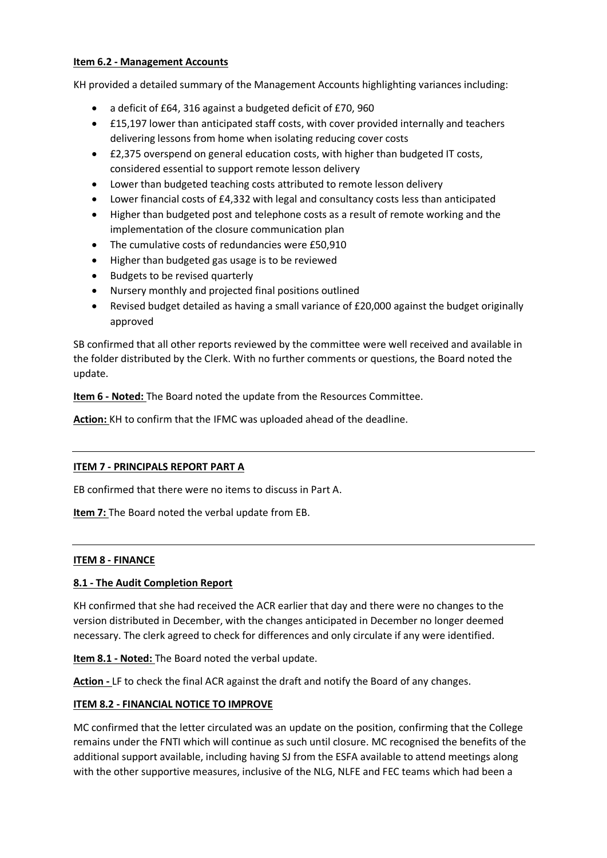## **Item 6.2 - Management Accounts**

KH provided a detailed summary of the Management Accounts highlighting variances including:

- a deficit of £64, 316 against a budgeted deficit of £70, 960
- £15,197 lower than anticipated staff costs, with cover provided internally and teachers delivering lessons from home when isolating reducing cover costs
- £2,375 overspend on general education costs, with higher than budgeted IT costs, considered essential to support remote lesson delivery
- Lower than budgeted teaching costs attributed to remote lesson delivery
- Lower financial costs of £4,332 with legal and consultancy costs less than anticipated
- Higher than budgeted post and telephone costs as a result of remote working and the implementation of the closure communication plan
- The cumulative costs of redundancies were £50,910
- Higher than budgeted gas usage is to be reviewed
- Budgets to be revised quarterly
- Nursery monthly and projected final positions outlined
- Revised budget detailed as having a small variance of £20,000 against the budget originally approved

SB confirmed that all other reports reviewed by the committee were well received and available in the folder distributed by the Clerk. With no further comments or questions, the Board noted the update.

**Item 6 - Noted:** The Board noted the update from the Resources Committee.

**Action:** KH to confirm that the IFMC was uploaded ahead of the deadline.

# **ITEM 7 - PRINCIPALS REPORT PART A**

EB confirmed that there were no items to discuss in Part A.

**Item 7:** The Board noted the verbal update from EB.

### **ITEM 8 - FINANCE**

### **8.1 - The Audit Completion Report**

KH confirmed that she had received the ACR earlier that day and there were no changes to the version distributed in December, with the changes anticipated in December no longer deemed necessary. The clerk agreed to check for differences and only circulate if any were identified.

**Item 8.1 - Noted:** The Board noted the verbal update.

**Action -** LF to check the final ACR against the draft and notify the Board of any changes.

# **ITEM 8.2 - FINANCIAL NOTICE TO IMPROVE**

MC confirmed that the letter circulated was an update on the position, confirming that the College remains under the FNTI which will continue as such until closure. MC recognised the benefits of the additional support available, including having SJ from the ESFA available to attend meetings along with the other supportive measures, inclusive of the NLG, NLFE and FEC teams which had been a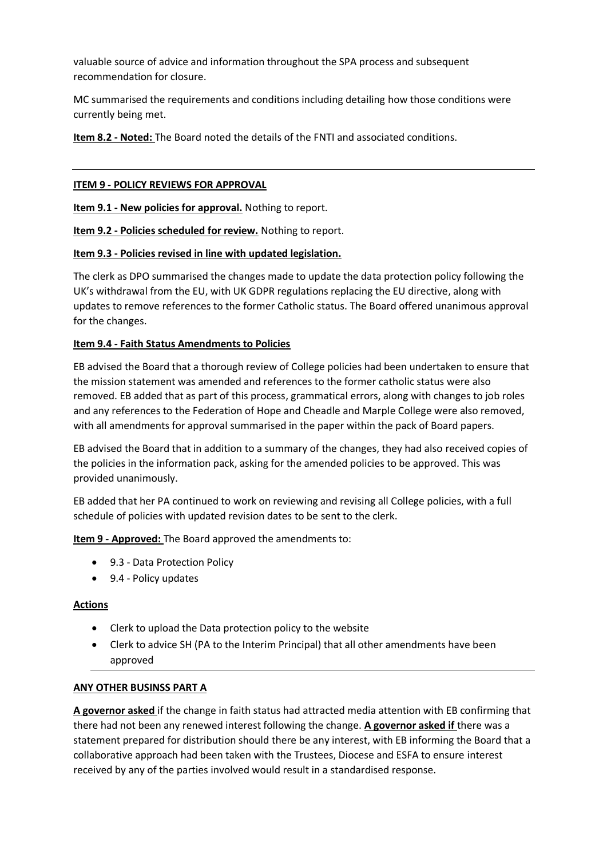valuable source of advice and information throughout the SPA process and subsequent recommendation for closure.

MC summarised the requirements and conditions including detailing how those conditions were currently being met.

**Item 8.2 - Noted:** The Board noted the details of the FNTI and associated conditions.

# **ITEM 9 - POLICY REVIEWS FOR APPROVAL**

**Item 9.1 - New policies for approval.** Nothing to report.

**Item 9.2 - Policies scheduled for review.** Nothing to report.

## **Item 9.3 - Policies revised in line with updated legislation.**

The clerk as DPO summarised the changes made to update the data protection policy following the UK's withdrawal from the EU, with UK GDPR regulations replacing the EU directive, along with updates to remove references to the former Catholic status. The Board offered unanimous approval for the changes.

## **Item 9.4 - Faith Status Amendments to Policies**

EB advised the Board that a thorough review of College policies had been undertaken to ensure that the mission statement was amended and references to the former catholic status were also removed. EB added that as part of this process, grammatical errors, along with changes to job roles and any references to the Federation of Hope and Cheadle and Marple College were also removed, with all amendments for approval summarised in the paper within the pack of Board papers.

EB advised the Board that in addition to a summary of the changes, they had also received copies of the policies in the information pack, asking for the amended policies to be approved. This was provided unanimously.

EB added that her PA continued to work on reviewing and revising all College policies, with a full schedule of policies with updated revision dates to be sent to the clerk.

**Item 9 - Approved:** The Board approved the amendments to:

- 9.3 Data Protection Policy
- 9.4 Policy updates

### **Actions**

- Clerk to upload the Data protection policy to the website
- Clerk to advice SH (PA to the Interim Principal) that all other amendments have been approved

### **ANY OTHER BUSINSS PART A**

**A governor asked** if the change in faith status had attracted media attention with EB confirming that there had not been any renewed interest following the change. **A governor asked if** there was a statement prepared for distribution should there be any interest, with EB informing the Board that a collaborative approach had been taken with the Trustees, Diocese and ESFA to ensure interest received by any of the parties involved would result in a standardised response.